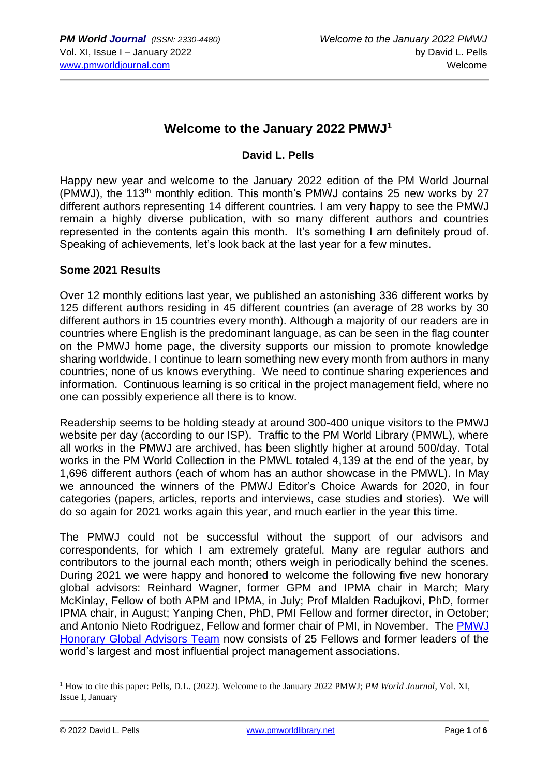### **Welcome to the January 2022 PMWJ<sup>1</sup>**

#### **David L. Pells**

Happy new year and welcome to the January 2022 edition of the PM World Journal (PMWJ), the 113<sup>th</sup> monthly edition. This month's PMWJ contains 25 new works by 27 different authors representing 14 different countries. I am very happy to see the PMWJ remain a highly diverse publication, with so many different authors and countries represented in the contents again this month. It's something I am definitely proud of. Speaking of achievements, let's look back at the last year for a few minutes.

#### **Some 2021 Results**

Over 12 monthly editions last year, we published an astonishing 336 different works by 125 different authors residing in 45 different countries (an average of 28 works by 30 different authors in 15 countries every month). Although a majority of our readers are in countries where English is the predominant language, as can be seen in the flag counter on the PMWJ home page, the diversity supports our mission to promote knowledge sharing worldwide. I continue to learn something new every month from authors in many countries; none of us knows everything. We need to continue sharing experiences and information. Continuous learning is so critical in the project management field, where no one can possibly experience all there is to know.

Readership seems to be holding steady at around 300-400 unique visitors to the PMWJ website per day (according to our ISP). Traffic to the PM World Library (PMWL), where all works in the PMWJ are archived, has been slightly higher at around 500/day. Total works in the PM World Collection in the PMWL totaled 4,139 at the end of the year, by 1,696 different authors (each of whom has an author showcase in the PMWL). In May we announced the winners of the PMWJ Editor's Choice Awards for 2020, in four categories (papers, articles, reports and interviews, case studies and stories). We will do so again for 2021 works again this year, and much earlier in the year this time.

The PMWJ could not be successful without the support of our advisors and correspondents, for which I am extremely grateful. Many are regular authors and contributors to the journal each month; others weigh in periodically behind the scenes. During 2021 we were happy and honored to welcome the following five new honorary global advisors: Reinhard Wagner, former GPM and IPMA chair in March; Mary McKinlay, Fellow of both APM and IPMA, in July; Prof Mlalden Radujkovi, PhD, former IPMA chair, in August; Yanping Chen, PhD, PMI Fellow and former director, in October; and Antonio Nieto Rodriguez, Fellow and former chair of PMI, in November. The PMWJ [Honorary Global Advisors Team](https://pmworldlibrary.net/team/global-advisors-pm-profession/) now consists of 25 Fellows and former leaders of the world's largest and most influential project management associations.

<sup>1</sup> How to cite this paper: Pells, D.L. (2022). Welcome to the January 2022 PMWJ; *PM World Journal*, Vol. XI, Issue I, January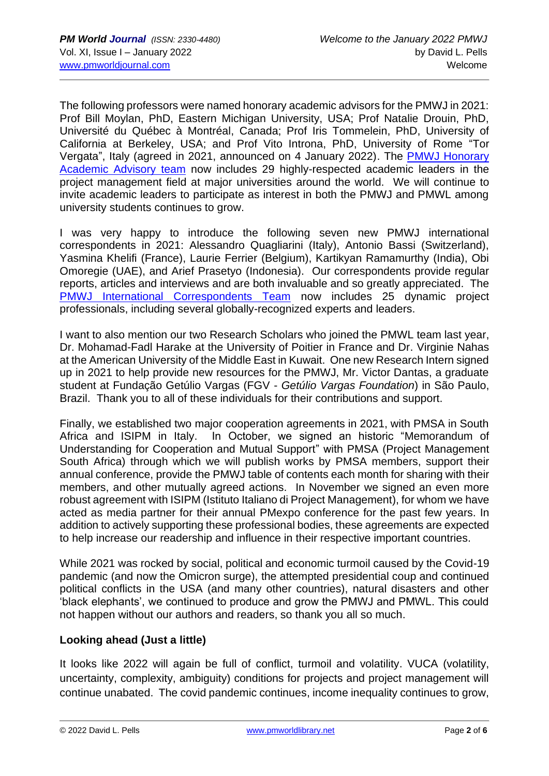The following professors were named honorary academic advisors for the PMWJ in 2021: Prof Bill Moylan, PhD, Eastern Michigan University, USA; Prof Natalie Drouin, PhD, Université du Québec à Montréal, Canada; Prof Iris Tommelein, PhD, University of California at Berkeley, USA; and Prof Vito Introna, PhD, University of Rome "Tor Vergata", Italy (agreed in 2021, announced on 4 January 2022). The [PMWJ Honorary](https://pmworldlibrary.net/international-academic-advisors/)  [Academic Advisory team](https://pmworldlibrary.net/international-academic-advisors/) now includes 29 highly-respected academic leaders in the project management field at major universities around the world. We will continue to invite academic leaders to participate as interest in both the PMWJ and PMWL among university students continues to grow.

I was very happy to introduce the following seven new PMWJ international correspondents in 2021: Alessandro Quagliarini (Italy), Antonio Bassi (Switzerland), Yasmina Khelifi (France), Laurie Ferrier (Belgium), Kartikyan Ramamurthy (India), Obi Omoregie (UAE), and Arief Prasetyo (Indonesia). Our correspondents provide regular reports, articles and interviews and are both invaluable and so greatly appreciated. The [PMWJ International Correspondents Team](https://pmworldlibrary.net/international-correspondents/) now includes 25 dynamic project professionals, including several globally-recognized experts and leaders.

I want to also mention our two Research Scholars who joined the PMWL team last year, Dr. Mohamad-Fadl Harake at the University of Poitier in France and Dr. Virginie Nahas at the American University of the Middle East in Kuwait. One new Research Intern signed up in 2021 to help provide new resources for the PMWJ, Mr. Victor Dantas, a graduate student at Fundação Getúlio Vargas (FGV - *Getúlio Vargas Foundation*) in São Paulo, Brazil. Thank you to all of these individuals for their contributions and support.

Finally, we established two major cooperation agreements in 2021, with PMSA in South Africa and ISIPM in Italy. In October, we signed an historic "Memorandum of Understanding for Cooperation and Mutual Support" with PMSA (Project Management South Africa) through which we will publish works by PMSA members, support their annual conference, provide the PMWJ table of contents each month for sharing with their members, and other mutually agreed actions. In November we signed an even more robust agreement with ISIPM (Istituto Italiano di Project Management), for whom we have acted as media partner for their annual PMexpo conference for the past few years. In addition to actively supporting these professional bodies, these agreements are expected to help increase our readership and influence in their respective important countries.

While 2021 was rocked by social, political and economic turmoil caused by the Covid-19 pandemic (and now the Omicron surge), the attempted presidential coup and continued political conflicts in the USA (and many other countries), natural disasters and other 'black elephants', we continued to produce and grow the PMWJ and PMWL. This could not happen without our authors and readers, so thank you all so much.

#### **Looking ahead (Just a little)**

It looks like 2022 will again be full of conflict, turmoil and volatility. VUCA (volatility, uncertainty, complexity, ambiguity) conditions for projects and project management will continue unabated. The covid pandemic continues, income inequality continues to grow,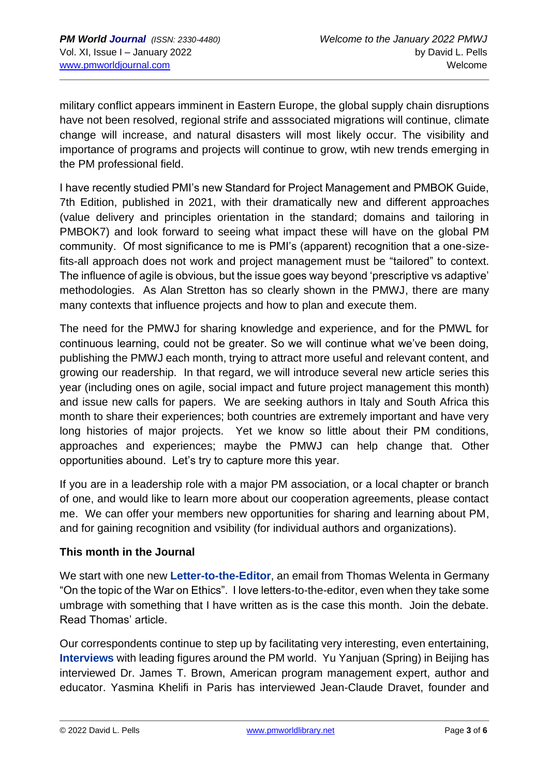military conflict appears imminent in Eastern Europe, the global supply chain disruptions have not been resolved, regional strife and asssociated migrations will continue, climate change will increase, and natural disasters will most likely occur. The visibility and importance of programs and projects will continue to grow, wtih new trends emerging in the PM professional field.

I have recently studied PMI's new Standard for Project Management and PMBOK Guide, 7th Edition, published in 2021, with their dramatically new and different approaches (value delivery and principles orientation in the standard; domains and tailoring in PMBOK7) and look forward to seeing what impact these will have on the global PM community. Of most significance to me is PMI's (apparent) recognition that a one-sizefits-all approach does not work and project management must be "tailored" to context. The influence of agile is obvious, but the issue goes way beyond 'prescriptive vs adaptive' methodologies. As Alan Stretton has so clearly shown in the PMWJ, there are many many contexts that influence projects and how to plan and execute them.

The need for the PMWJ for sharing knowledge and experience, and for the PMWL for continuous learning, could not be greater. So we will continue what we've been doing, publishing the PMWJ each month, trying to attract more useful and relevant content, and growing our readership. In that regard, we will introduce several new article series this year (including ones on agile, social impact and future project management this month) and issue new calls for papers. We are seeking authors in Italy and South Africa this month to share their experiences; both countries are extremely important and have very long histories of major projects. Yet we know so little about their PM conditions, approaches and experiences; maybe the PMWJ can help change that. Other opportunities abound. Let's try to capture more this year.

If you are in a leadership role with a major PM association, or a local chapter or branch of one, and would like to learn more about our cooperation agreements, please contact me. We can offer your members new opportunities for sharing and learning about PM, and for gaining recognition and vsibility (for individual authors and organizations).

#### **This month in the Journal**

We start with one new **Letter-to-the-Editor**, an email from Thomas Welenta in Germany "On the topic of the War on Ethics". I love letters-to-the-editor, even when they take some umbrage with something that I have written as is the case this month. Join the debate. Read Thomas' article.

Our correspondents continue to step up by facilitating very interesting, even entertaining, **Interviews** with leading figures around the PM world. Yu Yanjuan (Spring) in Beijing has interviewed Dr. James T. Brown, American program management expert, author and educator. Yasmina Khelifi in Paris has interviewed Jean-Claude Dravet, founder and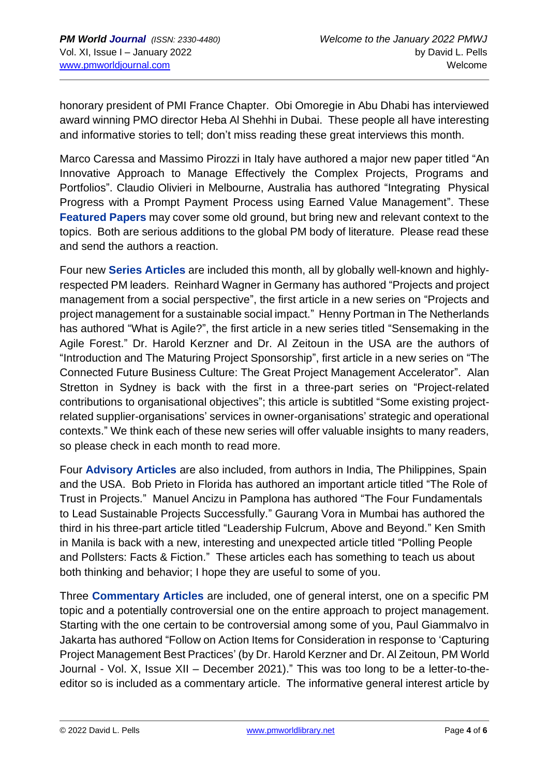honorary president of PMI France Chapter. Obi Omoregie in Abu Dhabi has interviewed award winning PMO director Heba Al Shehhi in Dubai. These people all have interesting and informative stories to tell; don't miss reading these great interviews this month.

Marco Caressa and Massimo Pirozzi in Italy have authored a major new paper titled "An Innovative Approach to Manage Effectively the Complex Projects, Programs and Portfolios". Claudio Olivieri in Melbourne, Australia has authored "Integrating Physical Progress with a Prompt Payment Process using Earned Value Management". These **Featured Papers** may cover some old ground, but bring new and relevant context to the topics. Both are serious additions to the global PM body of literature. Please read these and send the authors a reaction.

Four new **Series Articles** are included this month, all by globally well-known and highlyrespected PM leaders. Reinhard Wagner in Germany has authored "Projects and project management from a social perspective", the first article in a new series on "Projects and project management for a sustainable social impact." Henny Portman in The Netherlands has authored "What is Agile?", the first article in a new series titled "Sensemaking in the Agile Forest." Dr. Harold Kerzner and Dr. Al Zeitoun in the USA are the authors of "Introduction and The Maturing Project Sponsorship", first article in a new series on "The Connected Future Business Culture: The Great Project Management Accelerator". Alan Stretton in Sydney is back with the first in a three-part series on "Project-related contributions to organisational objectives"; this article is subtitled "Some existing projectrelated supplier-organisations' services in owner-organisations' strategic and operational contexts." We think each of these new series will offer valuable insights to many readers, so please check in each month to read more.

Four **Advisory Articles** are also included, from authors in India, The Philippines, Spain and the USA. Bob Prieto in Florida has authored an important article titled "The Role of Trust in Projects." Manuel Ancizu in Pamplona has authored "The Four Fundamentals to Lead Sustainable Projects Successfully." Gaurang Vora in Mumbai has authored the third in his three-part article titled "Leadership Fulcrum, Above and Beyond." Ken Smith in Manila is back with a new, interesting and unexpected article titled "Polling People and Pollsters: Facts & Fiction." These articles each has something to teach us about both thinking and behavior; I hope they are useful to some of you.

Three **Commentary Articles** are included, one of general interst, one on a specific PM topic and a potentially controversial one on the entire approach to project management. Starting with the one certain to be controversial among some of you, Paul Giammalvo in Jakarta has authored "Follow on Action Items for Consideration in response to 'Capturing Project Management Best Practices' (by Dr. Harold Kerzner and Dr. Al Zeitoun, PM World Journal - Vol. X, Issue XII – December 2021)." This was too long to be a letter-to-theeditor so is included as a commentary article. The informative general interest article by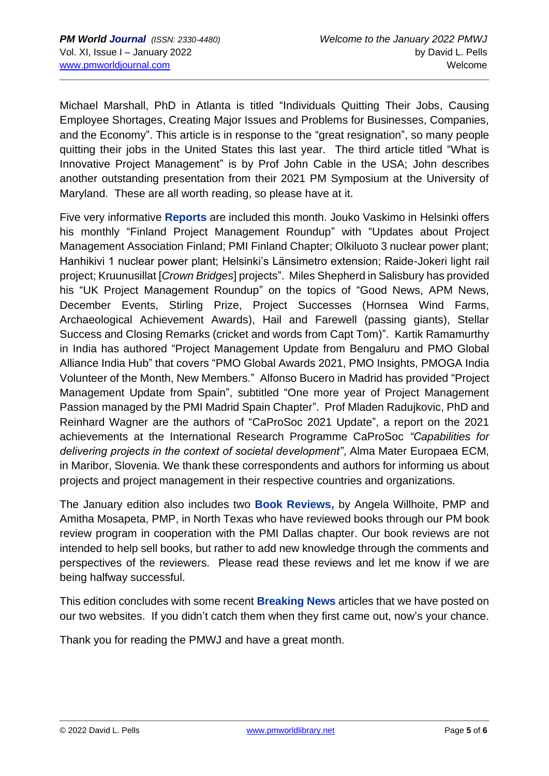Michael Marshall, PhD in Atlanta is titled "Individuals Quitting Their Jobs, Causing Employee Shortages, Creating Major Issues and Problems for Businesses, Companies, and the Economy". This article is in response to the "great resignation", so many people quitting their jobs in the United States this last year. The third article titled "What is Innovative Project Management" is by Prof John Cable in the USA; John describes another outstanding presentation from their 2021 PM Symposium at the University of Maryland. These are all worth reading, so please have at it.

Five very informative **Reports** are included this month. Jouko Vaskimo in Helsinki offers his monthly "Finland Project Management Roundup" with "Updates about Project Management Association Finland; PMI Finland Chapter; Olkiluoto 3 nuclear power plant; Hanhikivi 1 nuclear power plant; Helsinki's Länsimetro extension; Raide-Jokeri light rail project; Kruunusillat [*Crown Bridges*] projects". Miles Shepherd in Salisbury has provided his "UK Project Management Roundup" on the topics of "Good News, APM News, December Events, Stirling Prize, Project Successes (Hornsea Wind Farms, Archaeological Achievement Awards), Hail and Farewell (passing giants), Stellar Success and Closing Remarks (cricket and words from Capt Tom)". Kartik Ramamurthy in India has authored "Project Management Update from Bengaluru and PMO Global Alliance India Hub" that covers "PMO Global Awards 2021, PMO Insights, PMOGA India Volunteer of the Month, New Members." Alfonso Bucero in Madrid has provided "Project Management Update from Spain", subtitled "One more year of Project Management Passion managed by the PMI Madrid Spain Chapter". Prof Mladen Radujkovic, PhD and Reinhard Wagner are the authors of "CaProSoc 2021 Update", a report on the 2021 achievements at the International Research Programme CaProSoc *"Capabilities for delivering projects in the context of societal development"*, Alma Mater Europaea ECM, in Maribor, Slovenia. We thank these correspondents and authors for informing us about projects and project management in their respective countries and organizations.

The January edition also includes two **Book Reviews,** by Angela Willhoite, PMP and Amitha Mosapeta, PMP, in North Texas who have reviewed books through our PM book review program in cooperation with the PMI Dallas chapter. Our book reviews are not intended to help sell books, but rather to add new knowledge through the comments and perspectives of the reviewers. Please read these reviews and let me know if we are being halfway successful.

This edition concludes with some recent **Breaking News** articles that we have posted on our two websites. If you didn't catch them when they first came out, now's your chance.

Thank you for reading the PMWJ and have a great month.